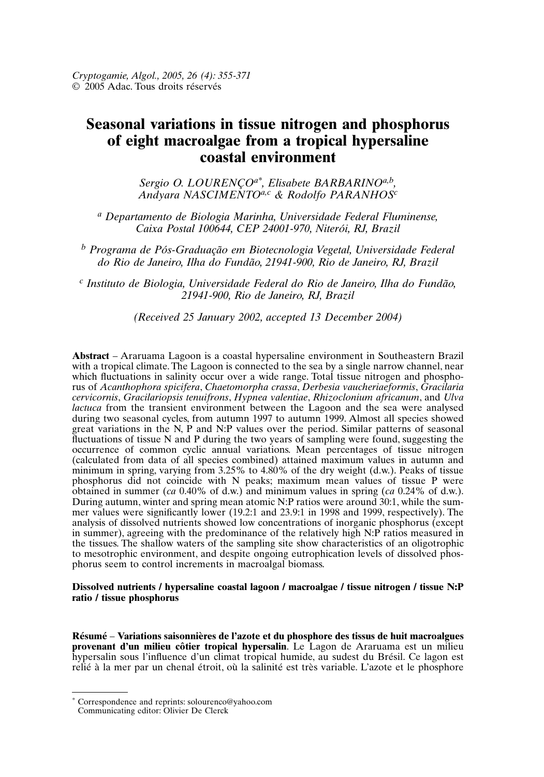# **Seasonal variations in tissue nitrogen and phosphorus of eight macroalgae from a tropical hypersaline coastal environment**

*Sergio O. LOURENÇOa\*, Elisabete BARBARINOa,b , Andyara NASCIMENTOa,c & Rodolfo PARANHOS<sup>c</sup>*

*<sup>a</sup> Departamento de Biologia Marinha, Universidade Federal Fluminense, Caixa Postal 100644, CEP 24001-970, Niterói, RJ, Brazil*

*<sup>b</sup> Programa de Pós-Graduação em Biotecnologia Vegetal, Universidade Federal do Rio de Janeiro, Ilha do Fundão, 21941-900, Rio de Janeiro, RJ, Brazil*

*c Instituto de Biologia, Universidade Federal do Rio de Janeiro, Ilha do Fundão, 21941-900, Rio de Janeiro, RJ, Brazil*

*(Received 25 January 2002, accepted 13 December 2004)*

**Abstract** – Araruama Lagoon is a coastal hypersaline environment in Southeastern Brazil with a tropical climate. The Lagoon is connected to the sea by a single narrow channel, near which fluctuations in salinity occur over a wide range. Total tissue nitrogen and phosphorus of *Acanthophora spicifera*, *Chaetomorpha crassa*, *Derbesia vaucheriaeformis*, *Gracilaria cervicornis*, *Gracilariopsis tenuifrons*, *Hypnea valentiae*, *Rhizoclonium africanum*, and *Ulva lactuca* from the transient environment between the Lagoon and the sea were analysed during two seasonal cycles, from autumn 1997 to autumn 1999. Almost all species showed great variations in the N, P and N:P values over the period. Similar patterns of seasonal fluctuations of tissue N and P during the two years of sampling were found, suggesting the occurrence of common cyclic annual variations. Mean percentages of tissue nitrogen (calculated from data of all species combined) attained maximum values in autumn and minimum in spring, varying from  $3.25\%$  to  $4.80\%$  of the dry weight (d.w.). Peaks of tissue phosphorus did not coincide with N peaks; maximum mean values of tissue P were obtained in summer (*ca* 0.40% of d.w.) and minimum values in spring (*ca* 0.24% of d.w.). During autumn, winter and spring mean atomic N:P ratios were around 30:1, while the summer values were significantly lower (19.2:1 and 23.9:1 in 1998 and 1999, respectively). The analysis of dissolved nutrients showed low concentrations of inorganic phosphorus (except in summer), agreeing with the predominance of the relatively high N:P ratios measured in the tissues. The shallow waters of the sampling site show characteristics of an oligotrophic to mesotrophic environment, and despite ongoing eutrophication levels of dissolved phosphorus seem to control increments in macroalgal biomass.

### **Dissolved nutrients / hypersaline coastal lagoon / macroalgae / tissue nitrogen / tissue N:P ratio / tissue phosphorus**

**Résumé** – **Variations saisonnières de l'azote et du phosphore des tissus de huit macroalgues provenant d'un milieu côtier tropical hypersalin**. Le Lagon de Araruama est un milieu hypersalin sous l'influence d'un climat tropical humide, au sudest du Brésil. Ce lagon est relié à la mer par un chenal étroit, où la salinité est très variable. L'azote et le phosphore

<sup>\*</sup> Correspondence and reprints: solourenco@yahoo.com

Communicating editor: Olivier De Clerck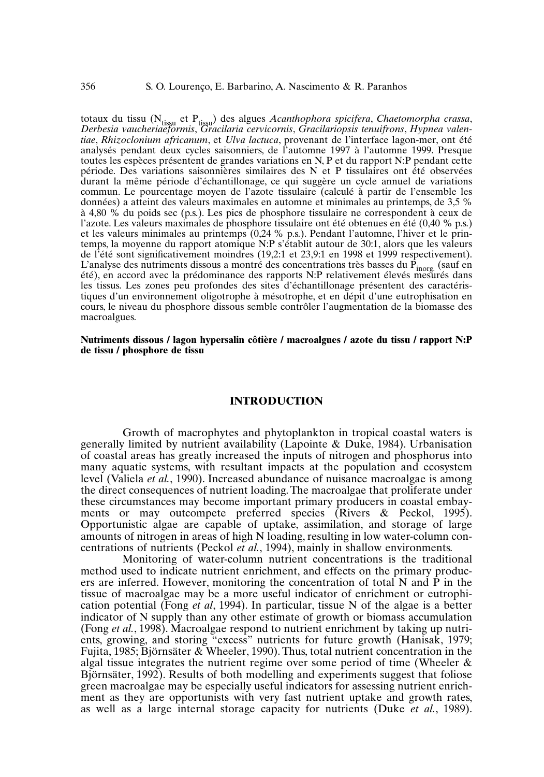totaux du tissu (N<sub>tissu</sub> et P<sub>tissu</sub>) des algues *Acanthophora spicifera, Chaetomorpha crassa,*<br>Derbesia vaucheriaeformis, Gracilaria cervicornis, Gracilariopsis tenuifrons, Hypnea valen*tiae*, *Rhizoclonium africanum*, et *Ulva lactuca*, provenant de l'interface lagon-mer, ont été analysés pendant deux cycles saisonniers, de l'automne 1997 à l'automne 1999. Presque toutes les espèces présentent de grandes variations en N, P et du rapport N:P pendant cette période. Des variations saisonnières similaires des N et P tissulaires ont été observées durant la même période d'échantillonage, ce qui suggère un cycle annuel de variations commun. Le pourcentage moyen de l'azote tissulaire (calculé à partir de l'ensemble les données) a atteint des valeurs maximales en automne et minimales au printemps, de 3,5 % à 4,80 % du poids sec (p.s.). Les pics de phosphore tissulaire ne correspondent à ceux de l'azote. Les valeurs maximales de phosphore tissulaire ont été obtenues en été (0,40 % p.s.) et les valeurs minimales au printemps (0,24 % p.s.). Pendant l'automne, l'hiver et le printemps, la moyenne du rapport atomique N:P s'établit autour de 30:1, alors que les valeurs de l'été sont significativement moindres (19,2:1 et 23,9:1 en 1998 et 1999 respectivement). L'analyse des nutriments dissous a montré des concentrations très basses du P<sub>inorg.</sub> (sauf en<br>été), en accord avec la prédominance des rapports N:P relativement élevés mesurés dans les tissus. Les zones peu profondes des sites d'échantillonage présentent des caractéristiques d'un environnement oligotrophe à mésotrophe, et en dépit d'une eutrophisation en cours, le niveau du phosphore dissous semble contrôler l'augmentation de la biomasse des macroalgues.

**Nutriments dissous / lagon hypersalin côtière / macroalgues / azote du tissu / rapport N:P de tissu / phosphore de tissu**

#### **INTRODUCTION**

Growth of macrophytes and phytoplankton in tropical coastal waters is generally limited by nutrient availability (Lapointe & Duke, 1984). Urbanisation of coastal areas has greatly increased the inputs of nitrogen and phosphorus into many aquatic systems, with resultant impacts at the population and ecosystem level (Valiela *et al.*, 1990). Increased abundance of nuisance macroalgae is among the direct consequences of nutrient loading.The macroalgae that proliferate under these circumstances may become important primary producers in coastal embayments or may outcompete preferred species (Rivers & Peckol, 1995). Opportunistic algae are capable of uptake, assimilation, and storage of large amounts of nitrogen in areas of high N loading, resulting in low water-column concentrations of nutrients (Peckol *et al.*, 1994), mainly in shallow environments.

Monitoring of water-column nutrient concentrations is the traditional method used to indicate nutrient enrichment, and effects on the primary producers are inferred. However, monitoring the concentration of total N and P in the tissue of macroalgae may be a more useful indicator of enrichment or eutrophication potential (Fong *et al*, 1994). In particular, tissue N of the algae is a better indicator of N supply than any other estimate of growth or biomass accumulation (Fong *et al.*, 1998). Macroalgae respond to nutrient enrichment by taking up nutrients, growing, and storing "excess" nutrients for future growth (Hanisak, 1979; Fujita, 1985; Björnsäter & Wheeler, 1990).Thus, total nutrient concentration in the algal tissue integrates the nutrient regime over some period of time (Wheeler & Björnsäter, 1992). Results of both modelling and experiments suggest that foliose green macroalgae may be especially useful indicators for assessing nutrient enrichment as they are opportunists with very fast nutrient uptake and growth rates, as well as a large internal storage capacity for nutrients (Duke *et al.*, 1989).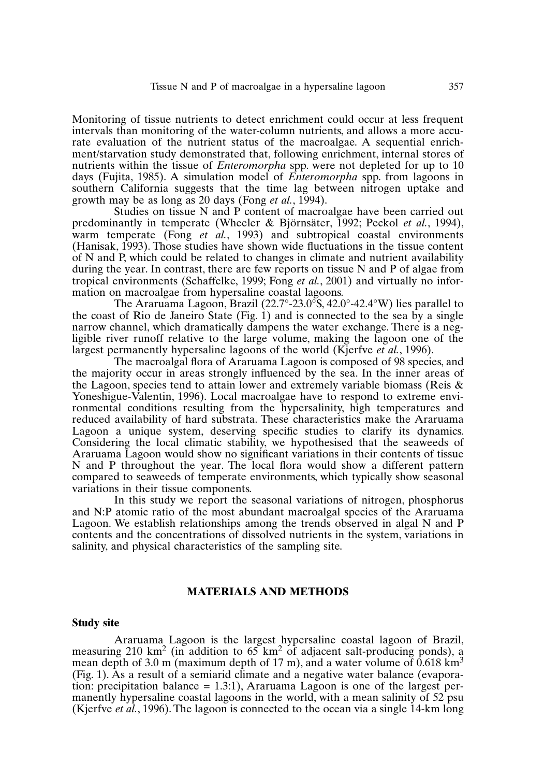Monitoring of tissue nutrients to detect enrichment could occur at less frequent intervals than monitoring of the water-column nutrients, and allows a more accurate evaluation of the nutrient status of the macroalgae. A sequential enrichment/starvation study demonstrated that, following enrichment, internal stores of nutrients within the tissue of *Enteromorpha* spp. were not depleted for up to 10 days (Fujita, 1985). A simulation model of *Enteromorpha* spp. from lagoons in southern California suggests that the time lag between nitrogen uptake and growth may be as long as 20 days (Fong *et al.*, 1994).

Studies on tissue N and P content of macroalgae have been carried out predominantly in temperate (Wheeler & Björnsäter, 1992; Peckol *et al.*, 1994), warm temperate (Fong *et al.*, 1993) and subtropical coastal environments (Hanisak, 1993). Those studies have shown wide fluctuations in the tissue content of N and P, which could be related to changes in climate and nutrient availability during the year. In contrast, there are few reports on tissue N and P of algae from tropical environments (Schaffelke, 1999; Fong *et al.*, 2001) and virtually no information on macroalgae from hypersaline coastal lagoons.

The Araruama Lagoon, Brazil (22.7°-23.0°S, 42.0°-42.4°W) lies parallel to the coast of Rio de Janeiro State (Fig. 1) and is connected to the sea by a single narrow channel, which dramatically dampens the water exchange. There is a negligible river runoff relative to the large volume, making the lagoon one of the largest permanently hypersaline lagoons of the world (Kjerfve *et al.*, 1996).

The macroalgal flora of Araruama Lagoon is composed of 98 species, and the majority occur in areas strongly influenced by the sea. In the inner areas of the Lagoon, species tend to attain lower and extremely variable biomass (Reis  $\&$ Yoneshigue-Valentin, 1996). Local macroalgae have to respond to extreme environmental conditions resulting from the hypersalinity, high temperatures and reduced availability of hard substrata. These characteristics make the Araruama Lagoon a unique system, deserving specific studies to clarify its dynamics. Considering the local climatic stability, we hypothesised that the seaweeds of Araruama Lagoon would show no significant variations in their contents of tissue N and P throughout the year. The local flora would show a different pattern compared to seaweeds of temperate environments, which typically show seasonal variations in their tissue components.

In this study we report the seasonal variations of nitrogen, phosphorus and N:P atomic ratio of the most abundant macroalgal species of the Araruama Lagoon. We establish relationships among the trends observed in algal N and P contents and the concentrations of dissolved nutrients in the system, variations in salinity, and physical characteristics of the sampling site.

## **MATERIALS AND METHODS**

## **Study site**

Araruama Lagoon is the largest hypersaline coastal lagoon of Brazil, measuring 210 km<sup>2</sup> (in addition to  $65 \text{ km}^2$  of adjacent salt-producing ponds), a mean depth of 3.0 m (maximum depth of 17 m), and a water volume of  $0.618 \text{ km}^3$ (Fig. 1). As a result of a semiarid climate and a negative water balance (evaporation: precipitation balance  $= 1.3:1$ ), Araruama Lagoon is one of the largest permanently hypersaline coastal lagoons in the world, with a mean salinity of 52 psu (Kjerfve *et al.*, 1996).The lagoon is connected to the ocean via a single 14-km long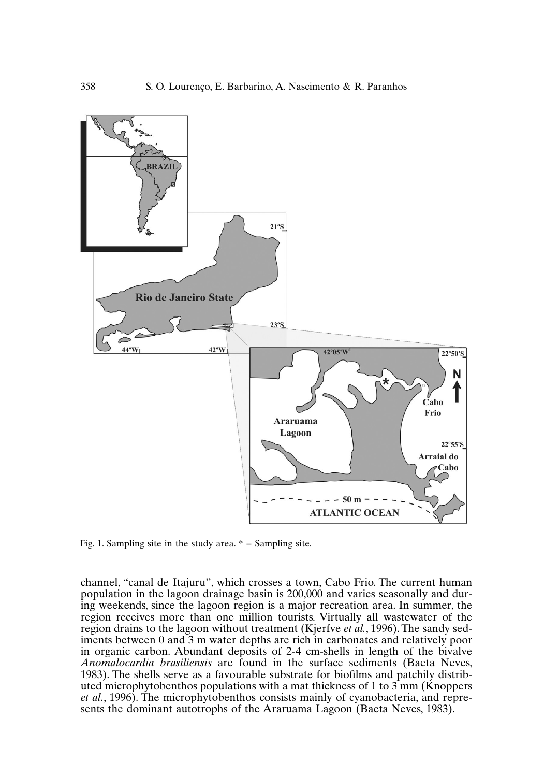

Fig. 1. Sampling site in the study area.  $* =$  Sampling site.

channel, "canal de Itajuru", which crosses a town, Cabo Frio. The current human population in the lagoon drainage basin is 200,000 and varies seasonally and during weekends, since the lagoon region is a major recreation area. In summer, the region receives more than one million tourists. Virtually all wastewater of the region drains to the lagoon without treatment (Kjerfve *et al.*, 1996).The sandy sediments between 0 and 3 m water depths are rich in carbonates and relatively poor in organic carbon. Abundant deposits of 2-4 cm-shells in length of the bivalve *Anomalocardia brasiliensis* are found in the surface sediments (Baeta Neves, 1983). The shells serve as a favourable substrate for biofilms and patchily distributed microphytobenthos populations with a mat thickness of 1 to 3 mm (Knoppers *et al.*, 1996). The microphytobenthos consists mainly of cyanobacteria, and represents the dominant autotrophs of the Araruama Lagoon (Baeta Neves, 1983).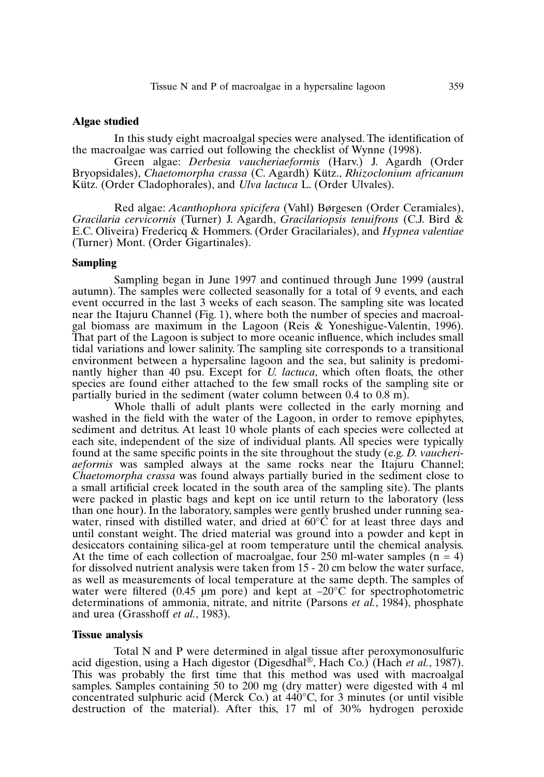#### **Algae studied**

In this study eight macroalgal species were analysed.The identification of the macroalgae was carried out following the checklist of Wynne (1998).

Green algae: *Derbesia vaucheriaeformis* (Harv.) J. Agardh (Order Bryopsidales), *Chaetomorpha crassa* (C. Agardh) Kütz., *Rhizoclonium africanum* Kütz. (Order Cladophorales), and *Ulva lactuca* L. (Order Ulvales).

Red algae: *Acanthophora spicifera* (Vahl) Børgesen (Order Ceramiales), *Gracilaria cervicornis* (Turner) J. Agardh, *Gracilariopsis tenuifrons* (C.J. Bird & E.C. Oliveira) Fredericq & Hommers. (Order Gracilariales), and *Hypnea valentiae* (Turner) Mont. (Order Gigartinales).

## **Sampling**

Sampling began in June 1997 and continued through June 1999 (austral autumn). The samples were collected seasonally for a total of 9 events, and each event occurred in the last 3 weeks of each season. The sampling site was located near the Itajuru Channel (Fig. 1), where both the number of species and macroalgal biomass are maximum in the Lagoon (Reis & Yoneshigue-Valentin, 1996). That part of the Lagoon is subject to more oceanic influence, which includes small tidal variations and lower salinity. The sampling site corresponds to a transitional environment between a hypersaline lagoon and the sea, but salinity is predominantly higher than 40 psu. Except for *U. lactuca*, which often floats, the other species are found either attached to the few small rocks of the sampling site or partially buried in the sediment (water column between 0.4 to 0.8 m).

Whole thalli of adult plants were collected in the early morning and washed in the field with the water of the Lagoon, in order to remove epiphytes, sediment and detritus. At least 10 whole plants of each species were collected at each site, independent of the size of individual plants. All species were typically found at the same specific points in the site throughout the study (e.g. *D. vaucheriaeformis* was sampled always at the same rocks near the Itajuru Channel; *Chaetomorpha crassa* was found always partially buried in the sediment close to a small artificial creek located in the south area of the sampling site). The plants were packed in plastic bags and kept on ice until return to the laboratory (less than one hour). In the laboratory, samples were gently brushed under running seawater, rinsed with distilled water, and dried at  $60^{\circ}$ C for at least three days and until constant weight. The dried material was ground into a powder and kept in desiccators containing silica-gel at room temperature until the chemical analysis. At the time of each collection of macroalgae, four 250 ml-water samples  $(n = 4)$ for dissolved nutrient analysis were taken from 15 - 20 cm below the water surface, as well as measurements of local temperature at the same depth. The samples of water were filtered (0.45  $\mu$ m pore) and kept at  $-20^{\circ}$ C for spectrophotometric determinations of ammonia, nitrate, and nitrite (Parsons *et al.*, 1984), phosphate and urea (Grasshoff *et al.*, 1983).

#### **Tissue analysis**

Total N and P were determined in algal tissue after peroxymonosulfuric acid digestion, using a Hach digestor (Digesdhal ®, Hach Co.) (Hach *et al.*, 1987). This was probably the first time that this method was used with macroalgal samples. Samples containing 50 to 200 mg (dry matter) were digested with 4 ml concentrated sulphuric acid (Merck Co.) at 440°C, for 3 minutes (or until visible destruction of the material). After this, 17 ml of 30% hydrogen peroxide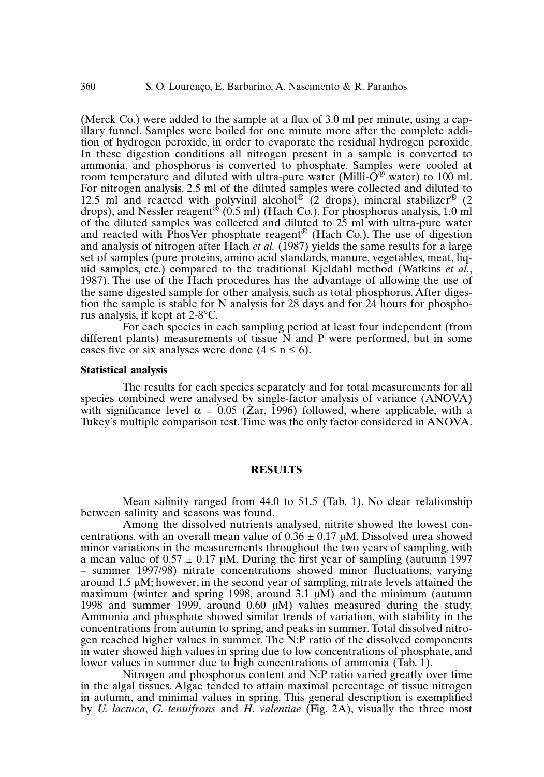(Merck Co.) were added to the sample at a flux of 3.0 ml per minute, using a capillary funnel. Samples were boiled for one minute more after the complete addition of hydrogen peroxide, in order to evaporate the residual hydrogen peroxide. In these digestion conditions all nitrogen present in a sample is converted to ammonia, and phosphorus is converted to phosphate. Samples were cooled at room temperature and diluted with ultra-pure water (Milli- $\dot{Q}^{\textcircled{\tiny{\textcirc}}}$  water) to 100 ml. For nitrogen analysis, 2.5 ml of the diluted samples were collected and diluted to 12.5 ml and reacted with polyvinil alcohol<sup>®</sup> (2 drops), mineral stabilizer<sup>®</sup> (2 drops), and Nessler reagent ® (0.5 ml) (Hach Co.). For phosphorus analysis, 1.0 ml of the diluted samples was collected and diluted to 25 ml with ultra-pure water and reacted with PhosVer phosphate reagent ® (Hach Co.). The use of digestion and analysis of nitrogen after Hach *et al.* (1987) yields the same results for a large set of samples (pure proteins, amino acid standards, manure, vegetables, meat, liquid samples, etc.) compared to the traditional Kjeldahl method (Watkins *et al.*, 1987). The use of the Hach procedures has the advantage of allowing the use of the same digested sample for other analysis, such as total phosphorus. After digestion the sample is stable for N analysis for 28 days and for 24 hours for phosphorus analysis, if kept at 2-8°C.

For each species in each sampling period at least four independent (from different plants) measurements of tissue N and P were performed, but in some cases five or six analyses were done  $(4 \le n \le 6)$ .

#### **Statistical analysis**

The results for each species separately and for total measurements for all species combined were analysed by single-factor analysis of variance (ANOVA) with significance level  $\alpha = 0.05$  (Zar, 1996) followed, where applicable, with a Tukey's multiple comparison test.Time was the only factor considered in ANOVA.

## **RESULTS**

Mean salinity ranged from 44.0 to 51.5 (Tab. 1). No clear relationship between salinity and seasons was found.

Among the dissolved nutrients analysed, nitrite showed the lowest concentrations, with an overall mean value of  $0.36 \pm 0.17 \,\mu\text{M}$ . Dissolved urea showed minor variations in the measurements throughout the two years of sampling, with a mean value of  $0.57 \pm 0.17$  µM. During the first year of sampling (autumn 1997) – summer 1997/98) nitrate concentrations showed minor fluctuations, varying around 1.5  $\mu$ M; however, in the second year of sampling, nitrate levels attained the maximum (winter and spring 1998, around 3.1  $\mu$ M) and the minimum (autumn 1998 and summer 1999, around 0.60 µM) values measured during the study. Ammonia and phosphate showed similar trends of variation, with stability in the concentrations from autumn to spring, and peaks in summer.Total dissolved nitrogen reached higher values in summer. The N:P ratio of the dissolved components in water showed high values in spring due to low concentrations of phosphate, and lower values in summer due to high concentrations of ammonia (Tab. 1).

Nitrogen and phosphorus content and N:P ratio varied greatly over time in the algal tissues. Algae tended to attain maximal percentage of tissue nitrogen in autumn, and minimal values in spring. This general description is exemplified by *U. lactuca*, *G. tenuifrons* and *H. valentiae* (Fig. 2A), visually the three most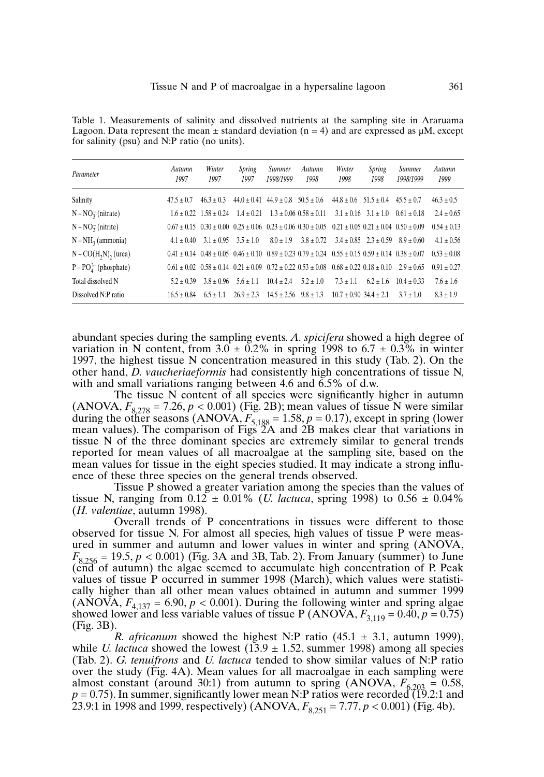Table 1. Measurements of salinity and dissolved nutrients at the sampling site in Araruama Lagoon. Data represent the mean  $\pm$  standard deviation (n = 4) and are expressed as  $\mu$ M, except for salinity (psu) and N:P ratio (no units).

| Parameter               | Autumn<br>1997 | Winter<br>1997                                                                                                                  | Spring<br>1997                          | <b>Summer</b><br>1998/1999 | Autumn<br>1998                                      | Winter<br>1998                     | Spring<br>1998                         | <b>Summer</b><br>1998/1999 | Autumn<br>1999  |
|-------------------------|----------------|---------------------------------------------------------------------------------------------------------------------------------|-----------------------------------------|----------------------------|-----------------------------------------------------|------------------------------------|----------------------------------------|----------------------------|-----------------|
| Salinity                | $47.5 + 0.7$   | $46.3 + 0.3$                                                                                                                    | $44.0 + 0.41$ $44.9 + 0.8$ $50.5 + 0.6$ |                            |                                                     |                                    | $44.8 + 0.6$ $51.5 + 0.4$ $45.5 + 0.7$ |                            | $46.3 \pm 0.5$  |
| $N - NO_3$ (nitrate)    |                | $1.6 + 0.22$ $1.58 + 0.24$                                                                                                      | $1.4 + 0.21$                            |                            | $1.3 + 0.06$ $0.58 + 0.11$ $3.1 + 0.16$ $3.1 + 1.0$ |                                    |                                        | $0.61 + 0.18$              | $2.4 + 0.65$    |
| $N - NO2$ (nitrite)     |                | $0.67 + 0.15$ $0.30 + 0.00$ $0.25 + 0.06$ $0.23 + 0.06$ $0.30 + 0.05$ $0.21 + 0.05$ $0.21 + 0.04$ $0.50 + 0.09$                 |                                         |                            |                                                     |                                    |                                        |                            | $0.54 \pm 0.13$ |
| $N - NH3$ (ammonia)     | $4.1 + 0.40$   | $3.1 + 0.95$ $3.5 + 1.0$                                                                                                        |                                         | $8.0 + 1.9$                | $3.8 + 0.72$                                        |                                    | $3.4 + 0.85$ $2.3 + 0.59$              | $8.9 + 0.60$               | $4.1 + 0.56$    |
| $N - CO(H2N)$ , (urea)  |                | $0.41 \pm 0.14$ $0.48 \pm 0.05$ $0.46 \pm 0.10$ $0.89 \pm 0.23$ $0.79 \pm 0.24$ $0.55 \pm 0.15$ $0.59 \pm 0.14$ $0.38 \pm 0.07$ |                                         |                            |                                                     |                                    |                                        |                            | $0.53 + 0.08$   |
| $P - PO43–$ (phosphate) |                | $0.61 \pm 0.02$ $0.58 \pm 0.14$ $0.21 \pm 0.09$ $0.72 \pm 0.22$ $0.53 \pm 0.08$ $0.68 \pm 0.22$ $0.18 \pm 0.10$ $2.9 \pm 0.65$  |                                         |                            |                                                     |                                    |                                        |                            | $0.91 + 0.27$   |
| Total dissolved N       | $5.2 + 0.39$   |                                                                                                                                 | $3.8 + 0.96$ $5.6 + 1.1$                | $10.4 + 2.4$ $5.2 + 1.0$   |                                                     | $7.3 + 1.1$                        | $6.2 + 1.6$                            | $10.4 + 0.33$              | $7.6 \pm 1.6$   |
| Dissolved N:P ratio     | $16.5 + 0.84$  | $6.5 + 1.1$                                                                                                                     | $26.9 + 2.3$ $14.5 + 2.56$ $9.8 + 1.3$  |                            |                                                     | $10.7 + 0.90$ 34.4 + 2.1 3.7 + 1.0 |                                        |                            | $8.3 + 1.9$     |

abundant species during the sampling events. *A. spicifera* showed a high degree of variation in N content, from  $3.0 \pm 0.2\%$  in spring 1998 to  $6.7 \pm 0.3\%$  in winter 1997, the highest tissue N concentration measured in this study (Tab. 2). On the other hand, *D. vaucheriaeformis* had consistently high concentrations of tissue N, with and small variations ranging between 4.6 and  $6.5\%$  of d.w.

The tissue N content of all species were significantly higher in autumn  $(ANOVA, F_{8,278} = 7.26, p < 0.001)$  (Fig. 2B); mean values of tissue N were similar during the other seasons (ANOVA,  $F_{5,188} = 1.58$ ,  $p = 0.17$ ), except in spring (lower mean values). The comparison of Figs 2A and 2B makes clear that variations in tissue N of the three dominant species are extremely similar to general trends reported for mean values of all macroalgae at the sampling site, based on the mean values for tissue in the eight species studied. It may indicate a strong influence of these three species on the general trends observed.

Tissue P showed a greater variation among the species than the values of tissue N, ranging from  $0.12 \pm 0.01\%$  (*U. lactuca*, spring 1998) to  $0.56 \pm 0.04\%$ (*H. valentiae*, autumn 1998).

Overall trends of P concentrations in tissues were different to those observed for tissue N. For almost all species, high values of tissue P were measured in summer and autumn and lower values in winter and spring (ANOVA,  $F_{8,256} = 19.5, p < 0.001$ ) (Fig. 3A and 3B, Tab. 2). From January (summer) to June (end of autumn) the algae seemed to accumulate high concentration of P. Peak values of tissue P occurred in summer 1998 (March), which values were statistically higher than all other mean values obtained in autumn and summer 1999 (ANOVA,  $F_{4,137} = 6.90, p < 0.001$ ). During the following winter and spring algae showed lower and less variable values of tissue P (ANOVA,  $F_{3,119} = 0.40$ ,  $p = 0.75$ ) (Fig. 3B).

*R. africanum* showed the highest N:P ratio  $(45.1 \pm 3.1, \text{autumn } 1999)$ , while *U. lactuca* showed the lowest  $(13.9 \pm 1.52)$ , summer 1998) among all species (Tab. 2). *G. tenuifrons* and *U. lactuca* tended to show similar values of N:P ratio over the study (Fig. 4A). Mean values for all macroalgae in each sampling were almost constant (around 30:1) from autumn to spring (ANOVA,  $F_{6,203} = 0.58$ ,  $p = 0.75$ ). In summer, significantly lower mean N:P ratios were recorded (19.2:1 and 23.9:1 in 1998 and 1999, respectively) (ANOVA, *F*8,251 = 7.77,*p* < 0.001) (Fig. 4b).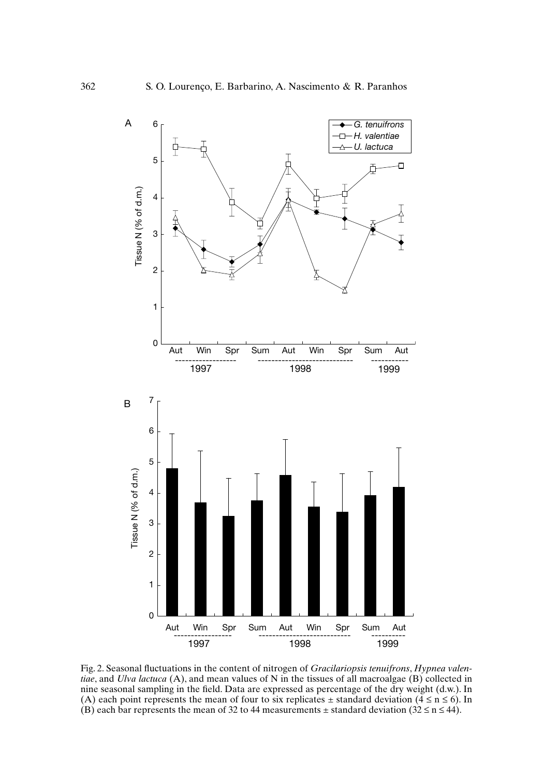

Fig. 2. Seasonal fluctuations in the content of nitrogen of *Gracilariopsis tenuifrons*, *Hypnea valentiae*, and *Ulva lactuca* (A), and mean values of N in the tissues of all macroalgae (B) collected in nine seasonal sampling in the field. Data are expressed as percentage of the dry weight (d.w.). In (A) each point represents the mean of four to six replicates  $\pm$  standard deviation ( $4 \le n \le 6$ ). In (B) each bar represents the mean of 32 to 44 measurements  $\pm$  standard deviation (32  $\leq$  n  $\leq$  44).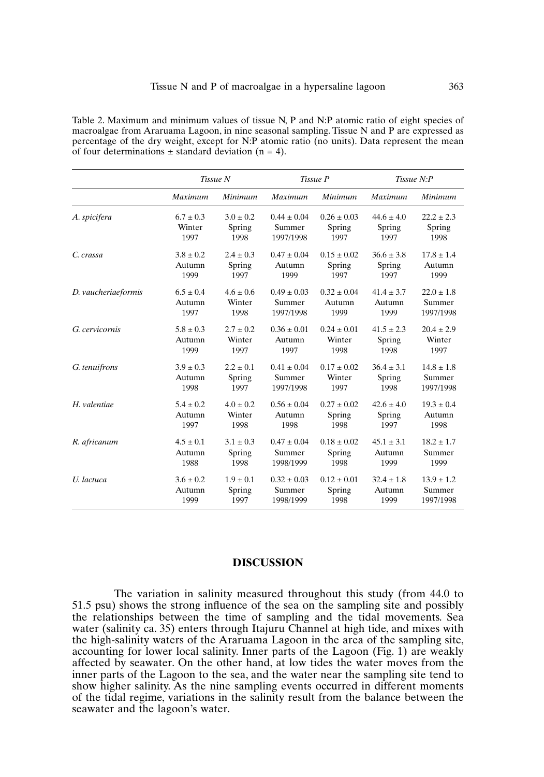Table 2. Maximum and minimum values of tissue N, P and N:P atomic ratio of eight species of macroalgae from Araruama Lagoon, in nine seasonal sampling. Tissue N and P are expressed as percentage of the dry weight, except for N:P atomic ratio (no units). Data represent the mean of four determinations  $\pm$  standard deviation (n = 4).

|                     |               | Tissue N      |                 | Tissue P        | Tissue N:P     |                |  |
|---------------------|---------------|---------------|-----------------|-----------------|----------------|----------------|--|
|                     | Maximum       | Minimum       | <b>Maximum</b>  | Minimum         | <b>Maximum</b> | Minimum        |  |
| A. spicifera        | $6.7 \pm 0.3$ | $3.0 \pm 0.2$ | $0.44 \pm 0.04$ | $0.26 \pm 0.03$ | $44.6 + 4.0$   | $22.2 \pm 2.3$ |  |
|                     | Winter        | Spring        | Summer          | Spring          | Spring         | Spring         |  |
|                     | 1997          | 1998          | 1997/1998       | 1997            | 1997           | 1998           |  |
| C. crassa           | $3.8 + 0.2$   | $2.4 \pm 0.3$ | $0.47 \pm 0.04$ | $0.15 \pm 0.02$ | $36.6 + 3.8$   | $17.8 + 1.4$   |  |
|                     | Autumn        | Spring        | Autumn          | Spring          | Spring         | Autumn         |  |
|                     | 1999          | 1997          | 1999            | 1997            | 1997           | 1999           |  |
| D. vaucheriaeformis | $6.5 \pm 0.4$ | $4.6 \pm 0.6$ | $0.49 \pm 0.03$ | $0.32 + 0.04$   | $41.4 \pm 3.7$ | $22.0 \pm 1.8$ |  |
|                     | Autumn        | Winter        | Summer          | Autumn          | Autumn         | Summer         |  |
|                     | 1997          | 1998          | 1997/1998       | 1999            | 1999           | 1997/1998      |  |
| G. cervicornis      | $5.8 \pm 0.3$ | $2.7 \pm 0.2$ | $0.36 \pm 0.01$ | $0.24 + 0.01$   | $41.5 + 2.3$   | $20.4 \pm 2.9$ |  |
|                     | Autumn        | Winter        | Autumn          | Winter          | Spring         | Winter         |  |
|                     | 1999          | 1997          | 1997            | 1998            | 1998           | 1997           |  |
| G. tenuifrons       | $3.9 \pm 0.3$ | $2.2 \pm 0.1$ | $0.41 \pm 0.04$ | $0.17 \pm 0.02$ | $36.4 \pm 3.1$ | $14.8 \pm 1.8$ |  |
|                     | Autumn        | Spring        | Summer          | Winter          | Spring         | Summer         |  |
|                     | 1998          | 1997          | 1997/1998       | 1997            | 1998           | 1997/1998      |  |
| H. valentiae        | $5.4 \pm 0.2$ | $4.0 \pm 0.2$ | $0.56 + 0.04$   | $0.27 + 0.02$   | $42.6 + 4.0$   | $19.3 \pm 0.4$ |  |
|                     | Autumn        | Winter        | Autumn          | Spring          | Spring         | Autumn         |  |
|                     | 1997          | 1998          | 1998            | 1998            | 1997           | 1998           |  |
| R. africanum        | $4.5 \pm 0.1$ | $3.1 \pm 0.3$ | $0.47 + 0.04$   | $0.18 + 0.02$   | $45.1 + 3.1$   | $18.2 \pm 1.7$ |  |
|                     | Autumn        | Spring        | Summer          | Spring          | Autumn         | Summer         |  |
|                     | 1988          | 1998          | 1998/1999       | 1998            | 1999           | 1999           |  |
| U. lactuca          | $3.6 \pm 0.2$ | $1.9 \pm 0.1$ | $0.32 \pm 0.03$ | $0.12 \pm 0.01$ | $32.4 \pm 1.8$ | $13.9 \pm 1.2$ |  |
|                     | Autumn        | Spring        | Summer          | Spring          | Autumn         | Summer         |  |
|                     | 1999          | 1997          | 1998/1999       | 1998            | 1999           | 1997/1998      |  |

#### **DISCUSSION**

The variation in salinity measured throughout this study (from 44.0 to 51.5 psu) shows the strong influence of the sea on the sampling site and possibly the relationships between the time of sampling and the tidal movements. Sea water (salinity ca. 35) enters through Itajuru Channel at high tide, and mixes with the high-salinity waters of the Araruama Lagoon in the area of the sampling site, accounting for lower local salinity. Inner parts of the Lagoon (Fig. 1) are weakly affected by seawater. On the other hand, at low tides the water moves from the inner parts of the Lagoon to the sea, and the water near the sampling site tend to show higher salinity. As the nine sampling events occurred in different moments of the tidal regime, variations in the salinity result from the balance between the seawater and the lagoon's water.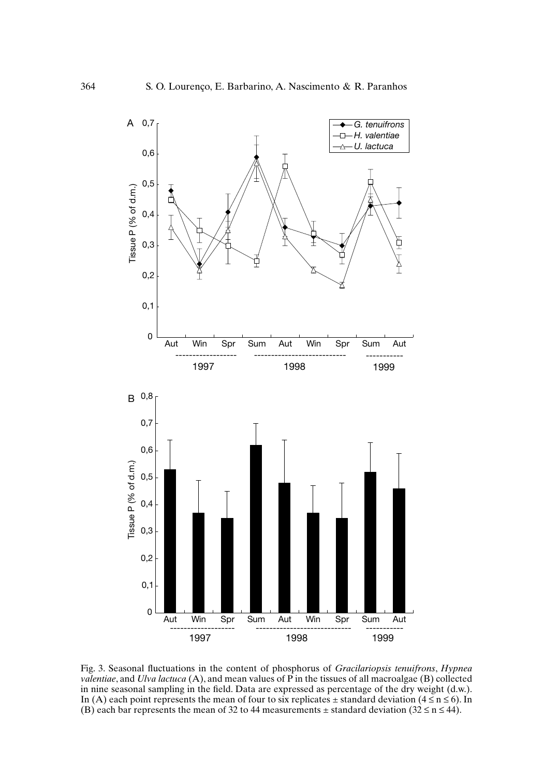

Fig. 3. Seasonal fluctuations in the content of phosphorus of *Gracilariopsis tenuifrons*, *Hypnea valentiae*, and *Ulva lactuca* (A), and mean values of P in the tissues of all macroalgae (B) collected in nine seasonal sampling in the field. Data are expressed as percentage of the dry weight (d.w.). In (A) each point represents the mean of four to six replicates  $\pm$  standard deviation (4  $\leq$  n  $\leq$  6). In (B) each bar represents the mean of 32 to 44 measurements  $\pm$  standard deviation (32  $\leq$  n  $\leq$  44).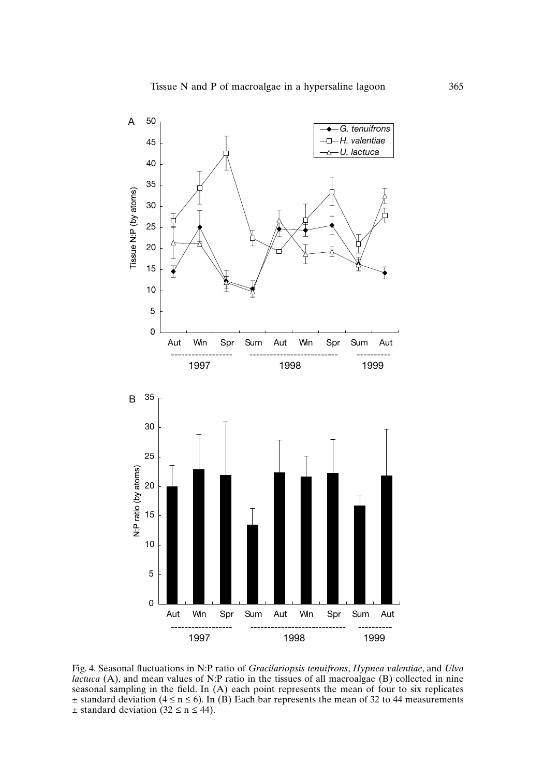

Fig. 4. Seasonal fluctuations in N:P ratio of *Gracilariopsis tenuifrons*, *Hypnea valentiae*, and *Ulva lactuca* (A), and mean values of N:P ratio in the tissues of all macroalgae (B) collected in nine seasonal sampling in the field. In (A) each point represents the mean of four to six replicates  $\pm$  standard deviation (4  $\leq$  n  $\leq$  6). In (B) Each bar represents the mean of 32 to 44 measurements  $\pm$  standard deviation (32  $\leq$  n  $\leq$  44).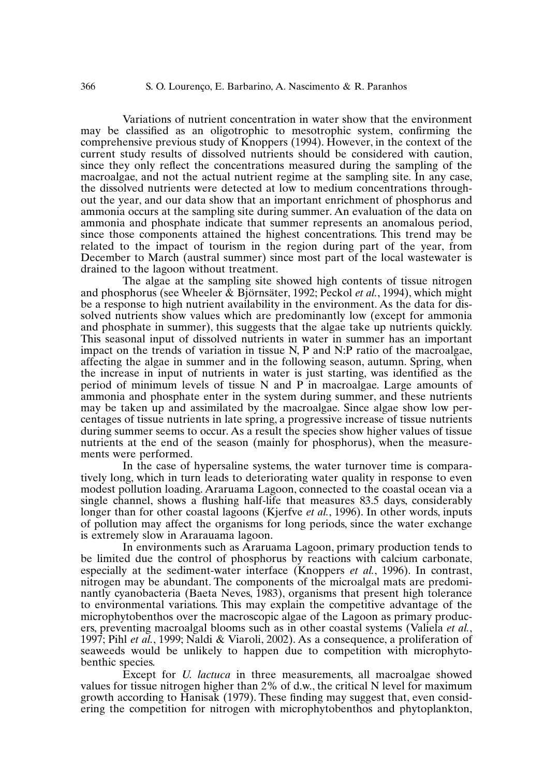Variations of nutrient concentration in water show that the environment may be classified as an oligotrophic to mesotrophic system, confirming the comprehensive previous study of Knoppers (1994). However, in the context of the current study results of dissolved nutrients should be considered with caution, since they only reflect the concentrations measured during the sampling of the macroalgae, and not the actual nutrient regime at the sampling site. In any case, the dissolved nutrients were detected at low to medium concentrations throughout the year, and our data show that an important enrichment of phosphorus and ammonia occurs at the sampling site during summer. An evaluation of the data on ammonia and phosphate indicate that summer represents an anomalous period, since those components attained the highest concentrations. This trend may be related to the impact of tourism in the region during part of the year, from December to March (austral summer) since most part of the local wastewater is drained to the lagoon without treatment.

The algae at the sampling site showed high contents of tissue nitrogen and phosphorus (see Wheeler & Björnsäter, 1992; Peckol *et al.*, 1994), which might be a response to high nutrient availability in the environment. As the data for dissolved nutrients show values which are predominantly low (except for ammonia and phosphate in summer), this suggests that the algae take up nutrients quickly. This seasonal input of dissolved nutrients in water in summer has an important impact on the trends of variation in tissue N, P and N:P ratio of the macroalgae, affecting the algae in summer and in the following season, autumn. Spring, when the increase in input of nutrients in water is just starting, was identified as the period of minimum levels of tissue N and P in macroalgae. Large amounts of ammonia and phosphate enter in the system during summer, and these nutrients may be taken up and assimilated by the macroalgae. Since algae show low percentages of tissue nutrients in late spring, a progressive increase of tissue nutrients during summer seems to occur. As a result the species show higher values of tissue nutrients at the end of the season (mainly for phosphorus), when the measurements were performed.

In the case of hypersaline systems, the water turnover time is comparatively long, which in turn leads to deteriorating water quality in response to even modest pollution loading. Araruama Lagoon, connected to the coastal ocean via a single channel, shows a flushing half-life that measures 83.5 days, considerably longer than for other coastal lagoons (Kjerfve *et al.*, 1996). In other words, inputs of pollution may affect the organisms for long periods, since the water exchange is extremely slow in Ararauama lagoon.

In environments such as Araruama Lagoon, primary production tends to be limited due the control of phosphorus by reactions with calcium carbonate, especially at the sediment-water interface (Knoppers *et al.*, 1996). In contrast, nitrogen may be abundant. The components of the microalgal mats are predominantly cyanobacteria (Baeta Neves, 1983), organisms that present high tolerance to environmental variations. This may explain the competitive advantage of the microphytobenthos over the macroscopic algae of the Lagoon as primary producers, preventing macroalgal blooms such as in other coastal systems (Valiela *et al.*, 1997; Pihl *et al.*, 1999; Naldi & Viaroli, 2002). As a consequence, a proliferation of seaweeds would be unlikely to happen due to competition with microphytobenthic species.

Except for *U. lactuca* in three measurements, all macroalgae showed values for tissue nitrogen higher than 2% of d.w., the critical N level for maximum growth according to Hanisak (1979). These finding may suggest that, even considering the competition for nitrogen with microphytobenthos and phytoplankton,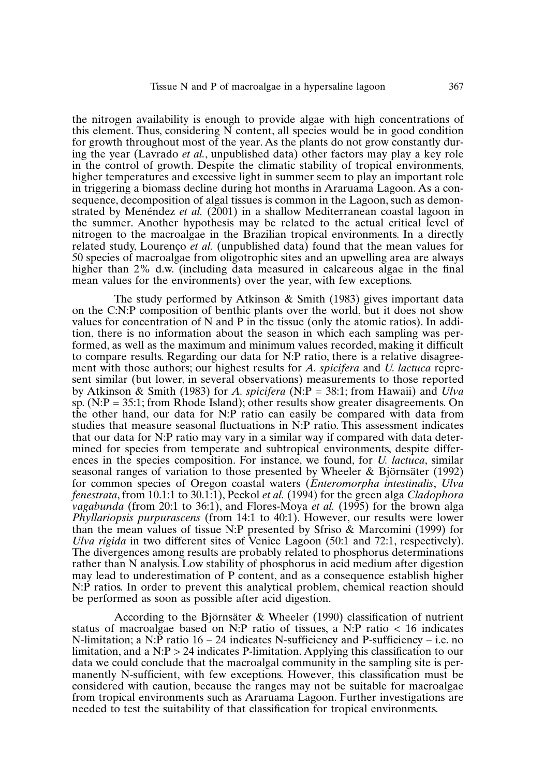the nitrogen availability is enough to provide algae with high concentrations of this element. Thus, considering  $\overline{N}$  content, all species would be in good condition for growth throughout most of the year. As the plants do not grow constantly during the year (Lavrado *et al.*, unpublished data) other factors may play a key role in the control of growth. Despite the climatic stability of tropical environments, higher temperatures and excessive light in summer seem to play an important role in triggering a biomass decline during hot months in Araruama Lagoon. As a consequence, decomposition of algal tissues is common in the Lagoon, such as demonstrated by Menéndez *et al.* (2001) in a shallow Mediterranean coastal lagoon in the summer. Another hypothesis may be related to the actual critical level of nitrogen to the macroalgae in the Brazilian tropical environments. In a directly related study, Lourenço *et al.* (unpublished data) found that the mean values for 50 species of macroalgae from oligotrophic sites and an upwelling area are always higher than 2% d.w. (including data measured in calcareous algae in the final mean values for the environments) over the year, with few exceptions.

The study performed by Atkinson & Smith (1983) gives important data on the C:N:P composition of benthic plants over the world, but it does not show values for concentration of N and P in the tissue (only the atomic ratios). In addition, there is no information about the season in which each sampling was performed, as well as the maximum and minimum values recorded, making it difficult to compare results. Regarding our data for N:P ratio, there is a relative disagreement with those authors; our highest results for *A. spicifera* and *U. lactuca* represent similar (but lower, in several observations) measurements to those reported by Atkinson & Smith (1983) for *A. spicifera* (N:P = 38:1; from Hawaii) and *Ulva* sp.  $(N:P = 35:1$ ; from Rhode Island); other results show greater disagreements. On the other hand, our data for N:P ratio can easily be compared with data from studies that measure seasonal fluctuations in N:P ratio. This assessment indicates that our data for N:P ratio may vary in a similar way if compared with data determined for species from temperate and subtropical environments, despite differences in the species composition. For instance, we found, for *U. lactuca*, similar seasonal ranges of variation to those presented by Wheeler & Björnsäter (1992) for common species of Oregon coastal waters (*Enteromorpha intestinalis*, *Ulva fenestrata*, from 10.1:1 to 30.1:1), Peckol *et al.* (1994) for the green alga *Cladophora vagabunda* (from 20:1 to 36:1), and Flores-Moya *et al.* (1995) for the brown alga *Phyllariopsis purpurascens* (from 14:1 to 40:1). However, our results were lower than the mean values of tissue N:P presented by Sfriso & Marcomini (1999) for *Ulva rigida* in two different sites of Venice Lagoon (50:1 and 72:1, respectively). The divergences among results are probably related to phosphorus determinations rather than N analysis. Low stability of phosphorus in acid medium after digestion may lead to underestimation of P content, and as a consequence establish higher N:P ratios. In order to prevent this analytical problem, chemical reaction should be performed as soon as possible after acid digestion.

According to the Björnsäter & Wheeler (1990) classification of nutrient status of macroalgae based on N:P ratio of tissues, a N:P ratio  $\lt$  16 indicates N-limitation; a N:P ratio  $16 - 24$  indicates N-sufficiency and P-sufficiency – i.e. no limitation, and a  $N: P > 24$  indicates P-limitation. Applying this classification to our data we could conclude that the macroalgal community in the sampling site is permanently N-sufficient, with few exceptions. However, this classification must be considered with caution, because the ranges may not be suitable for macroalgae from tropical environments such as Araruama Lagoon. Further investigations are needed to test the suitability of that classification for tropical environments.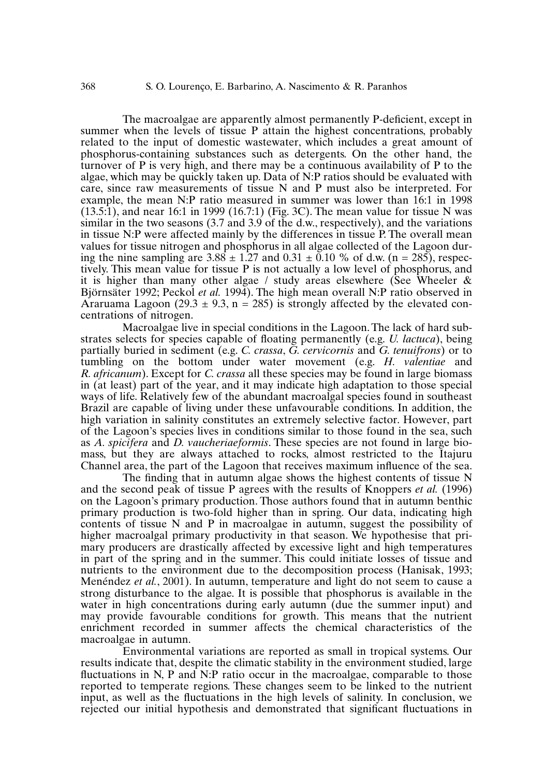The macroalgae are apparently almost permanently P-deficient, except in summer when the levels of tissue P attain the highest concentrations, probably related to the input of domestic wastewater, which includes a great amount of phosphorus-containing substances such as detergents. On the other hand, the turnover of P is very high, and there may be a continuous availability of P to the algae, which may be quickly taken up. Data of N:P ratios should be evaluated with care, since raw measurements of tissue N and P must also be interpreted. For example, the mean N:P ratio measured in summer was lower than 16:1 in 1998  $(13.5:1)$ , and near 16:1 in 1999 (16.7:1) (Fig. 3C). The mean value for tissue N was similar in the two seasons (3.7 and 3.9 of the d.w., respectively), and the variations in tissue N:P were affected mainly by the differences in tissue P. The overall mean values for tissue nitrogen and phosphorus in all algae collected of the Lagoon during the nine sampling are  $3.88 \pm 1.27$  and  $0.31 \pm 0.10$  % of d.w. (n = 285), respectively. This mean value for tissue P is not actually a low level of phosphorus, and it is higher than many other algae / study areas elsewhere (See Wheeler & Björnsäter 1992; Peckol *et al.* 1994). The high mean overall N:P ratio observed in Araruama Lagoon (29.3  $\pm$  9.3, n = 285) is strongly affected by the elevated concentrations of nitrogen.

Macroalgae live in special conditions in the Lagoon.The lack of hard substrates selects for species capable of floating permanently (e.g. *U. lactuca*), being partially buried in sediment (e.g. *C. crassa*, *G. cervicornis* and *G. tenuifrons*) or to tumbling on the bottom under water movement (e.g. *H. valentiae* and *R. africanum*). Except for *C. crassa* all these species may be found in large biomass in (at least) part of the year, and it may indicate high adaptation to those special ways of life. Relatively few of the abundant macroalgal species found in southeast Brazil are capable of living under these unfavourable conditions. In addition, the high variation in salinity constitutes an extremely selective factor. However, part of the Lagoon's species lives in conditions similar to those found in the sea, such as *A. spicifera* and *D. vaucheriaeformis*. These species are not found in large biomass, but they are always attached to rocks, almost restricted to the Itajuru Channel area, the part of the Lagoon that receives maximum influence of the sea.

The finding that in autumn algae shows the highest contents of tissue N and the second peak of tissue P agrees with the results of Knoppers *et al.* (1996) on the Lagoon's primary production. Those authors found that in autumn benthic primary production is two-fold higher than in spring. Our data, indicating high contents of tissue N and P in macroalgae in autumn, suggest the possibility of higher macroalgal primary productivity in that season. We hypothesise that primary producers are drastically affected by excessive light and high temperatures in part of the spring and in the summer. This could initiate losses of tissue and nutrients to the environment due to the decomposition process (Hanisak, 1993; Menéndez *et al.*, 2001). In autumn, temperature and light do not seem to cause a strong disturbance to the algae. It is possible that phosphorus is available in the water in high concentrations during early autumn (due the summer input) and may provide favourable conditions for growth. This means that the nutrient enrichment recorded in summer affects the chemical characteristics of the macroalgae in autumn.

Environmental variations are reported as small in tropical systems. Our results indicate that, despite the climatic stability in the environment studied, large fluctuations in N, P and N:P ratio occur in the macroalgae, comparable to those reported to temperate regions. These changes seem to be linked to the nutrient input, as well as the fluctuations in the high levels of salinity. In conclusion, we rejected our initial hypothesis and demonstrated that significant fluctuations in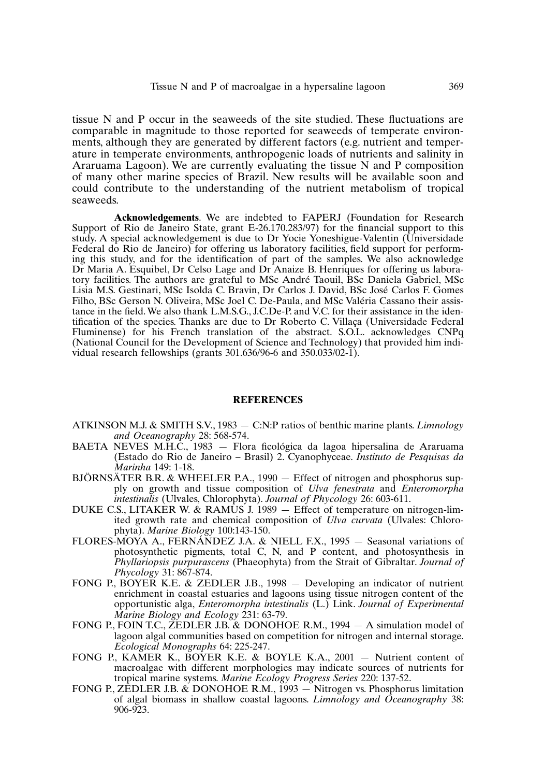tissue N and P occur in the seaweeds of the site studied. These fluctuations are comparable in magnitude to those reported for seaweeds of temperate environments, although they are generated by different factors (e.g. nutrient and temperature in temperate environments, anthropogenic loads of nutrients and salinity in Araruama Lagoon). We are currently evaluating the tissue N and P composition of many other marine species of Brazil. New results will be available soon and could contribute to the understanding of the nutrient metabolism of tropical seaweeds.

**Acknowledgements**. We are indebted to FAPERJ (Foundation for Research Support of Rio de Janeiro State, grant E-26.170.283/97) for the financial support to this study. A special acknowledgement is due to Dr Yocie Yoneshigue-Valentin (Universidade Federal do Rio de Janeiro) for offering us laboratory facilities, field support for performing this study, and for the identification of part of the samples. We also acknowledge Dr Maria A. Esquibel, Dr Celso Lage and Dr Anaize B. Henriques for offering us laboratory facilities. The authors are grateful to MSc André Taouil, BSc Daniela Gabriel, MSc Lisia M.S. Gestinari, MSc Isolda C. Bravin, Dr Carlos J. David, BSc José Carlos F. Gomes Filho, BSc Gerson N. Oliveira, MSc Joel C. De-Paula, and MSc Valéria Cassano their assistance in the field.We also thank L.M.S.G., J.C.De-P. and V.C. for their assistance in the identification of the species. Thanks are due to Dr Roberto C. Villaça (Universidade Federal Fluminense) for his French translation of the abstract. S.O.L. acknowledges CNPq (National Council for the Development of Science and Technology) that provided him individual research fellowships (grants 301.636/96-6 and 350.033/02-1).

## **REFERENCES**

- ATKINSON M.J. & SMITH S.V., 1983 C:N:P ratios of benthic marine plants. *Limnology and Oceanography* 28: 568-574.
- BAETA NEVES M.H.C., 1983 Flora ficológica da lagoa hipersalina de Araruama (Estado do Rio de Janeiro – Brasil) 2. Cyanophyceae. *Instituto de Pesquisas da Marinha* 149: 1-18.
- BJÖRNSÄTER B.R. & WHEELER P.A., 1990 Effect of nitrogen and phosphorus supply on growth and tissue composition of *Ulva fenestrata* and *Enteromorpha intestinalis* (Ulvales, Chlorophyta). *Journal of Phycology* 26: 603-611.
- DUKE C.S., LITAKER W. & RAMUS J. 1989 Effect of temperature on nitrogen-limited growth rate and chemical composition of *Ulva curvata* (Ulvales: Chlorophyta). *Marine Biology* 100:143-150.
- FLORES-MOYA A., FERNÁNDEZ J.A. & NIELL F.X., 1995 Seasonal variations of photosynthetic pigments, total C, N, and P content, and photosynthesis in *Phyllariopsis purpurascens* (Phaeophyta) from the Strait of Gibraltar. *Journal of Phycology* 31: 867-874.
- FONG P., BOYER K.E. & ZEDLER J.B., 1998 Developing an indicator of nutrient enrichment in coastal estuaries and lagoons using tissue nitrogen content of the opportunistic alga, *Enteromorpha intestinalis* (L.) Link. *Journal of Experimental Marine Biology and Ecology* 231: 63-79.
- FONG P., FOIN T.C., ZEDLER J.B. & DONOHOE R.M., 1994 A simulation model of lagoon algal communities based on competition for nitrogen and internal storage. *Ecological Monographs* 64: 225-247.
- FONG P., KAMER K., BOYER K.E. & BOYLE K.A., 2001 Nutrient content of macroalgae with different morphologies may indicate sources of nutrients for tropical marine systems. *Marine Ecology Progress Series* 220: 137-52.
- FONG P., ZEDLER J.B. & DONOHOE R.M., 1993 Nitrogen vs. Phosphorus limitation of algal biomass in shallow coastal lagoons. *Limnology and Oceanography* 38: 906-923.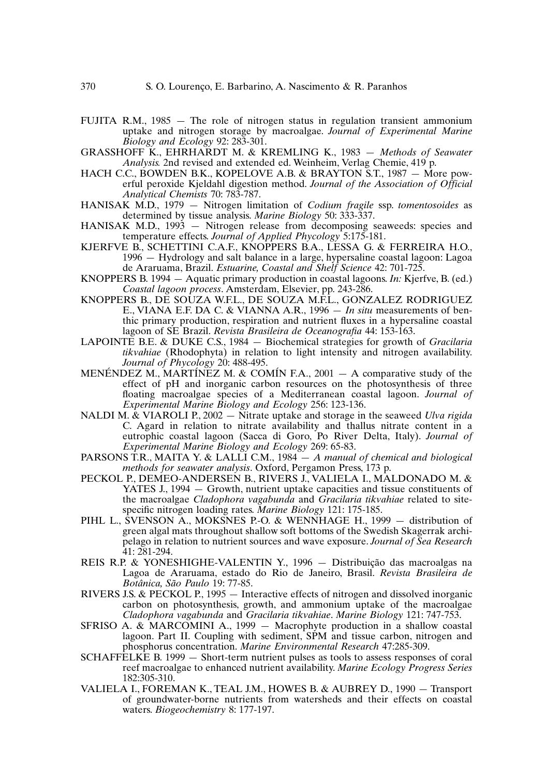- FUJITA R.M., 1985 The role of nitrogen status in regulation transient ammonium uptake and nitrogen storage by macroalgae. *Journal of Experimental Marine Biology and Ecology* 92: 283-301.
- GRASSHOFF K., EHRHARDT M. & KREMLING K., 1983 *Methods of Seawater Analysis.* 2nd revised and extended ed. Weinheim, Verlag Chemie, 419 p.
- HACH C.C., BOWDEN B.K., KOPELOVE A.B. & BRAYTON S.T., 1987 More powerful peroxide Kjeldahl digestion method. *Journal of the Association of Official Analytical Chemists* 70: 783-787.
- HANISAK M.D., 1979 Nitrogen limitation of *Codium fragile* ssp. *tomentosoides* as determined by tissue analysis. *Marine Biology* 50: 333-337.
- HANISAK M.D., 1993 Nitrogen release from decomposing seaweeds: species and temperature effects. *Journal of Applied Phycology* 5:175-181.
- KJERFVE B., SCHETTINI C.A.F., KNOPPERS B.A., LESSA G. & FERREIRA H.O., 1996 — Hydrology and salt balance in a large, hypersaline coastal lagoon: Lagoa de Araruama, Brazil. *Estuarine, Coastal and Shelf Science* 42: 701-725.
- KNOPPERS B. 1994 Aquatic primary production in coastal lagoons. *In:* Kjerfve, B. (ed.) *Coastal lagoon process*. Amsterdam, Elsevier, pp. 243-286.
- KNOPPERS B., DE SOUZA W.F.L., DE SOUZA M.F.L., GONZALEZ RODRIGUEZ E., VIANA E.F. DA C. & VIANNA A.R.,  $1996 - In$  *situ* measurements of benthic primary production, respiration and nutrient fluxes in a hypersaline coastal lagoon of SE Brazil. *Revista Brasileira de Oceanografia* 44: 153-163.
- LAPOINTE B.E. & DUKE C.S., 1984 Biochemical strategies for growth of *Gracilaria tikvahiae* (Rhodophyta) in relation to light intensity and nitrogen availability. *Journal of Phycology* 20: 488-495.
- MENÉNDEZ M., MARTÍNEZ M. & COMÍN F.A., 2001 A comparative study of the effect of pH and inorganic carbon resources on the photosynthesis of three floating macroalgae species of a Mediterranean coastal lagoon. *Journal of Experimental Marine Biology and Ecology* 256: 123-136.
- NALDI M. & VIAROLI P., 2002 Nitrate uptake and storage in the seaweed *Ulva rigida* C. Agard in relation to nitrate availability and thallus nitrate content in a eutrophic coastal lagoon (Sacca di Goro, Po River Delta, Italy). *Journal of Experimental Marine Biology and Ecology* 269: 65-83.
- PARSONS T.R., MAITA Y. & LALLI C.M., 1984 *A manual of chemical and biological methods for seawater analysis*. Oxford, Pergamon Press, 173 p.
- PECKOL P., DEMEO-ANDERSEN B., RIVERS J., VALIELA I., MALDONADO M. & YATES J., 1994 — Growth, nutrient uptake capacities and tissue constituents of the macroalgae *Cladophora vagabunda* and *Gracilaria tikvahiae* related to sitespecific nitrogen loading rates. *Marine Biology* 121: 175-185.
- PIHL L., SVENSON A., MOKSNES P.-O. & WENNHAGE H., 1999  $-$  distribution of green algal mats throughout shallow soft bottoms of the Swedish Skagerrak archipelago in relation to nutrient sources and wave exposure. *Journal of Sea Research* 41: 281-294.
- REIS R.P. & YONESHIGHE-VALENTIN Y., 1996 Distribuição das macroalgas na Lagoa de Araruama, estado do Rio de Janeiro, Brasil. *Revista Brasileira de Botânica, São Paulo* 19: 77-85.
- RIVERS J.S. & PECKOL P., 1995 Interactive effects of nitrogen and dissolved inorganic carbon on photosynthesis, growth, and ammonium uptake of the macroalgae *Cladophora vagabunda* and *Gracilaria tikvahiae*. *Marine Biology* 121: 747-753.
- SFRISO A. & MARCOMINI A., 1999 Macrophyte production in a shallow coastal lagoon. Part II. Coupling with sediment, SPM and tissue carbon, nitrogen and phosphorus concentration. *Marine Environmental Research* 47:285-309.
- SCHAFFELKE B. 1999 Short-term nutrient pulses as tools to assess responses of coral reef macroalgae to enhanced nutrient availability. *Marine Ecology Progress Series* 182:305-310.
- VALIELA I., FOREMAN K., TEAL J.M., HOWES B. & AUBREY D., 1990 Transport of groundwater-borne nutrients from watersheds and their effects on coastal waters. *Biogeochemistry* 8: 177-197.